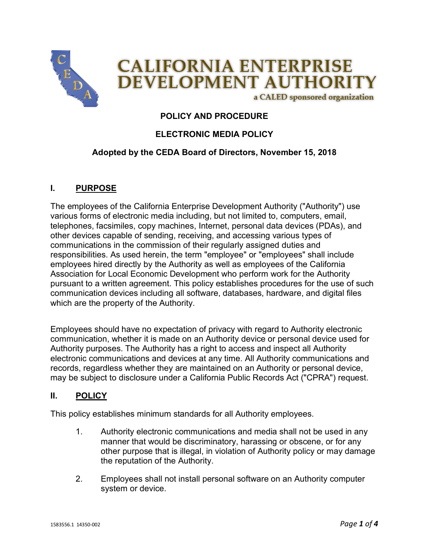

# **POLICY AND PROCEDURE**

## **ELECTRONIC MEDIA POLICY**

#### **Adopted by the CEDA Board of Directors, November 15, 2018**

#### **I. PURPOSE**

The employees of the California Enterprise Development Authority ("Authority") use various forms of electronic media including, but not limited to, computers, email, telephones, facsimiles, copy machines, Internet, personal data devices (PDAs), and other devices capable of sending, receiving, and accessing various types of communications in the commission of their regularly assigned duties and responsibilities. As used herein, the term "employee" or "employees" shall include employees hired directly by the Authority as well as employees of the California Association for Local Economic Development who perform work for the Authority pursuant to a written agreement. This policy establishes procedures for the use of such communication devices including all software, databases, hardware, and digital files which are the property of the Authority.

Employees should have no expectation of privacy with regard to Authority electronic communication, whether it is made on an Authority device or personal device used for Authority purposes. The Authority has a right to access and inspect all Authority electronic communications and devices at any time. All Authority communications and records, regardless whether they are maintained on an Authority or personal device, may be subject to disclosure under a California Public Records Act ("CPRA") request.

#### **II. POLICY**

This policy establishes minimum standards for all Authority employees.

- 1. Authority electronic communications and media shall not be used in any manner that would be discriminatory, harassing or obscene, or for any other purpose that is illegal, in violation of Authority policy or may damage the reputation of the Authority.
- 2. Employees shall not install personal software on an Authority computer system or device.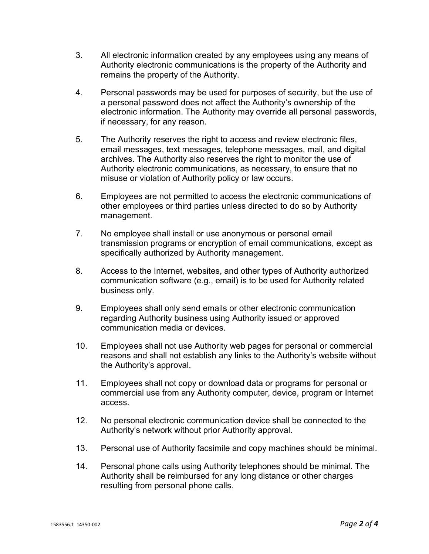- 3. All electronic information created by any employees using any means of Authority electronic communications is the property of the Authority and remains the property of the Authority.
- 4. Personal passwords may be used for purposes of security, but the use of a personal password does not affect the Authority's ownership of the electronic information. The Authority may override all personal passwords, if necessary, for any reason.
- 5. The Authority reserves the right to access and review electronic files, email messages, text messages, telephone messages, mail, and digital archives. The Authority also reserves the right to monitor the use of Authority electronic communications, as necessary, to ensure that no misuse or violation of Authority policy or law occurs.
- 6. Employees are not permitted to access the electronic communications of other employees or third parties unless directed to do so by Authority management.
- 7. No employee shall install or use anonymous or personal email transmission programs or encryption of email communications, except as specifically authorized by Authority management.
- 8. Access to the Internet, websites, and other types of Authority authorized communication software (e.g., email) is to be used for Authority related business only.
- 9. Employees shall only send emails or other electronic communication regarding Authority business using Authority issued or approved communication media or devices.
- 10. Employees shall not use Authority web pages for personal or commercial reasons and shall not establish any links to the Authority's website without the Authority's approval.
- 11. Employees shall not copy or download data or programs for personal or commercial use from any Authority computer, device, program or Internet access.
- 12. No personal electronic communication device shall be connected to the Authority's network without prior Authority approval.
- 13. Personal use of Authority facsimile and copy machines should be minimal.
- 14. Personal phone calls using Authority telephones should be minimal. The Authority shall be reimbursed for any long distance or other charges resulting from personal phone calls.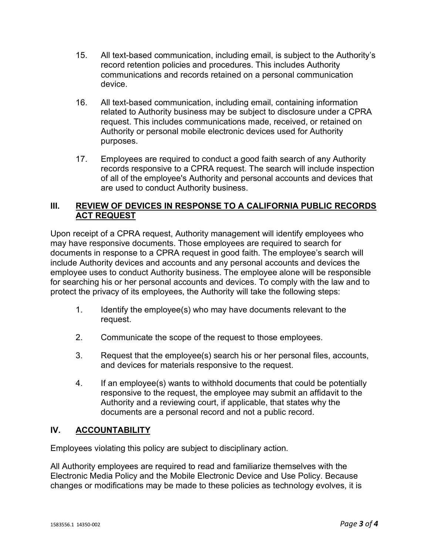- 15. All text-based communication, including email, is subject to the Authority's record retention policies and procedures. This includes Authority communications and records retained on a personal communication device.
- 16. All text-based communication, including email, containing information related to Authority business may be subject to disclosure under a CPRA request. This includes communications made, received, or retained on Authority or personal mobile electronic devices used for Authority purposes.
- 17. Employees are required to conduct a good faith search of any Authority records responsive to a CPRA request. The search will include inspection of all of the employee's Authority and personal accounts and devices that are used to conduct Authority business.

### **III. REVIEW OF DEVICES IN RESPONSE TO A CALIFORNIA PUBLIC RECORDS ACT REQUEST**

Upon receipt of a CPRA request, Authority management will identify employees who may have responsive documents. Those employees are required to search for documents in response to a CPRA request in good faith. The employee's search will include Authority devices and accounts and any personal accounts and devices the employee uses to conduct Authority business. The employee alone will be responsible for searching his or her personal accounts and devices. To comply with the law and to protect the privacy of its employees, the Authority will take the following steps:

- 1. Identify the employee(s) who may have documents relevant to the request.
- 2. Communicate the scope of the request to those employees.
- 3. Request that the employee(s) search his or her personal files, accounts, and devices for materials responsive to the request.
- 4. If an employee(s) wants to withhold documents that could be potentially responsive to the request, the employee may submit an affidavit to the Authority and a reviewing court, if applicable, that states why the documents are a personal record and not a public record.

## **IV. ACCOUNTABILITY**

Employees violating this policy are subject to disciplinary action.

All Authority employees are required to read and familiarize themselves with the Electronic Media Policy and the Mobile Electronic Device and Use Policy. Because changes or modifications may be made to these policies as technology evolves, it is